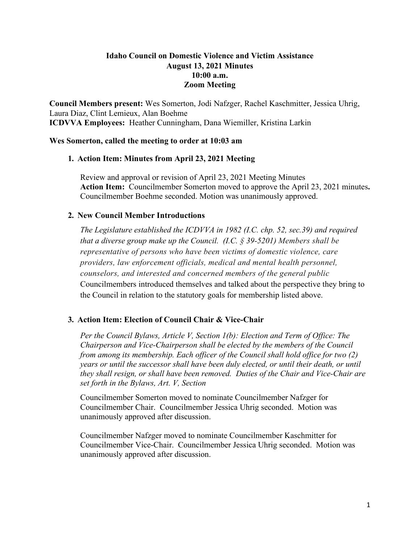# **Idaho Council on Domestic Violence and Victim Assistance August 13, 2021 Minutes 10:00 a.m. Zoom Meeting**

**Council Members present:** Wes Somerton, Jodi Nafzger, Rachel Kaschmitter, Jessica Uhrig, Laura Diaz, Clint Lemieux, Alan Boehme **ICDVVA Employees:** Heather Cunningham, Dana Wiemiller, Kristina Larkin

## **Wes Somerton, called the meeting to order at 10:03 am**

## **1. Action Item: Minutes from April 23, 2021 Meeting**

Review and approval or revision of April 23, 2021 Meeting Minutes **Action Item:** Councilmember Somerton moved to approve the April 23, 2021 minutes**.**  Councilmember Boehme seconded. Motion was unanimously approved.

## **2. New Council Member Introductions**

*The Legislature established the ICDVVA in 1982 (I.C. chp. 52, sec.39) and required that a diverse group make up the Council. (I.C. § 39-5201) Members shall be representative of persons who have been victims of domestic violence, care providers, law enforcement officials, medical and mental health personnel, counselors, and interested and concerned members of the general public*  Councilmembers introduced themselves and talked about the perspective they bring to the Council in relation to the statutory goals for membership listed above.

# **3. Action Item: Election of Council Chair & Vice-Chair**

*Per the Council Bylaws, Article V, Section 1(b): Election and Term of Office: The Chairperson and Vice-Chairperson shall be elected by the members of the Council from among its membership. Each officer of the Council shall hold office for two (2) years or until the successor shall have been duly elected, or until their death, or until they shall resign, or shall have been removed. Duties of the Chair and Vice-Chair are set forth in the Bylaws, Art. V, Section* 

Councilmember Somerton moved to nominate Councilmember Nafzger for Councilmember Chair. Councilmember Jessica Uhrig seconded. Motion was unanimously approved after discussion.

Councilmember Nafzger moved to nominate Councilmember Kaschmitter for Councilmember Vice-Chair. Councilmember Jessica Uhrig seconded. Motion was unanimously approved after discussion.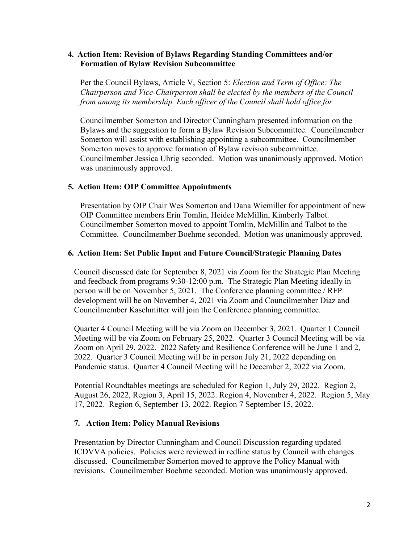### **4. Action Item: Revision of Bylaws Regarding Standing Committees and/or Formation of Bylaw Revision Subcommittee**

Per the Council Bylaws, Article V, Section 5: *Election and Term of Office: The Chairperson and Vice-Chairperson shall be elected by the members of the Council from among its membership. Each officer of the Council shall hold office for* 

Councilmember Somerton and Director Cunningham presented information on the Bylaws and the suggestion to form a Bylaw Revision Subcommittee. Councilmember Somerton will assist with establishing appointing a subcommittee. Councilmember Somerton moves to approve formation of Bylaw revision subcommittee. Councilmember Jessica Uhrig seconded. Motion was unanimously approved. Motion was unanimously approved.

## **5. Action Item: OIP Committee Appointments**

Presentation by OIP Chair Wes Somerton and Dana Wiemiller for appointment of new OIP Committee members Erin Tomlin, Heidee McMillin, Kimberly Talbot. Councilmember Somerton moved to appoint Tomlin, McMillin and Talbot to the Committee. Councilmember Boehme seconded. Motion was unanimously approved.

## **6. Action Item: Set Public Input and Future Council/Strategic Planning Dates**

Council discussed date for September 8, 2021 via Zoom for the Strategic Plan Meeting and feedback from programs 9:30-12:00 p.m. The Strategic Plan Meeting ideally in person will be on November 5, 2021. The Conference planning committee / RFP development will be on November 4, 2021 via Zoom and Councilmember Diaz and Councilmember Kaschmitter will join the Conference planning committee.

Quarter 4 Council Meeting will be via Zoom on December 3, 2021. Quarter 1 Council Meeting will be via Zoom on February 25, 2022. Quarter 3 Council Meeting will be via Zoom on April 29, 2022. 2022 Safety and Resilience Conference will be June 1 and 2, 2022. Quarter 3 Council Meeting will be in person July 21, 2022 depending on Pandemic status. Quarter 4 Council Meeting will be December 2, 2022 via Zoom.

Potential Roundtables meetings are scheduled for Region 1, July 29, 2022. Region 2, August 26, 2022, Region 3, April 15, 2022. Region 4, November 4, 2022. Region 5, May 17, 2022. Region 6, September 13, 2022. Region 7 September 15, 2022.

### **7. Action Item: Policy Manual Revisions**

Presentation by Director Cunningham and Council Discussion regarding updated ICDVVA policies. Policies were reviewed in redline status by Council with changes discussed. Councilmember Somerton moved to approve the Policy Manual with revisions. Councilmember Boehme seconded. Motion was unanimously approved.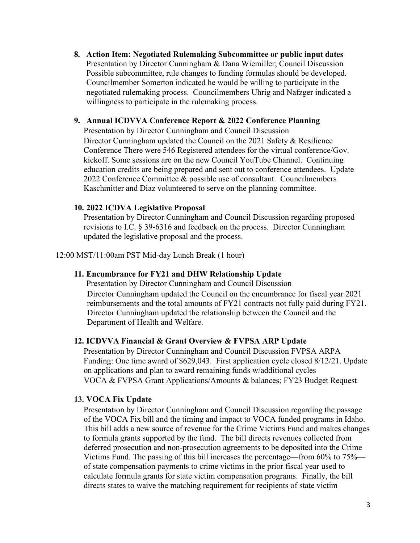**8. Action Item: Negotiated Rulemaking Subcommittee or public input dates**  Presentation by Director Cunningham & Dana Wiemiller; Council Discussion Possible subcommittee, rule changes to funding formulas should be developed. Councilmember Somerton indicated he would be willing to participate in the negotiated rulemaking process. Councilmembers Uhrig and Nafzger indicated a willingness to participate in the rulemaking process.

## **9. Annual ICDVVA Conference Report & 2022 Conference Planning**

Presentation by Director Cunningham and Council Discussion Director Cunningham updated the Council on the 2021 Safety & Resilience Conference There were 546 Registered attendees for the virtual conference/Gov. kickoff. Some sessions are on the new Council YouTube Channel. Continuing education credits are being prepared and sent out to conference attendees. Update 2022 Conference Committee & possible use of consultant. Councilmembers Kaschmitter and Diaz volunteered to serve on the planning committee.

### **10. 2022 ICDVA Legislative Proposal**

Presentation by Director Cunningham and Council Discussion regarding proposed revisions to I.C. § 39-6316 and feedback on the process. Director Cunningham updated the legislative proposal and the process.

12:00 MST/11:00am PST Mid-day Lunch Break (1 hour)

### **11. Encumbrance for FY21 and DHW Relationship Update**

Presentation by Director Cunningham and Council Discussion Director Cunningham updated the Council on the encumbrance for fiscal year 2021 reimbursements and the total amounts of FY21 contracts not fully paid during FY21. Director Cunningham updated the relationship between the Council and the Department of Health and Welfare.

### **12. ICDVVA Financial & Grant Overview & FVPSA ARP Update**

Presentation by Director Cunningham and Council Discussion FVPSA ARPA Funding: One time award of \$629,043. First application cycle closed 8/12/21. Update on applications and plan to award remaining funds w/additional cycles VOCA & FVPSA Grant Applications/Amounts & balances; FY23 Budget Request

### **13. VOCA Fix Update**

Presentation by Director Cunningham and Council Discussion regarding the passage of the VOCA Fix bill and the timing and impact to VOCA funded programs in Idaho. This bill adds a new source of revenue for the Crime Victims Fund and makes changes to formula grants supported by the fund. The bill directs revenues collected from deferred prosecution and non-prosecution agreements to be deposited into the Crime Victims Fund. The passing of this bill increases the percentage—from 60% to 75% of state compensation payments to crime victims in the prior fiscal year used to calculate formula grants for state victim compensation programs. Finally, the bill directs states to waive the matching requirement for recipients of state victim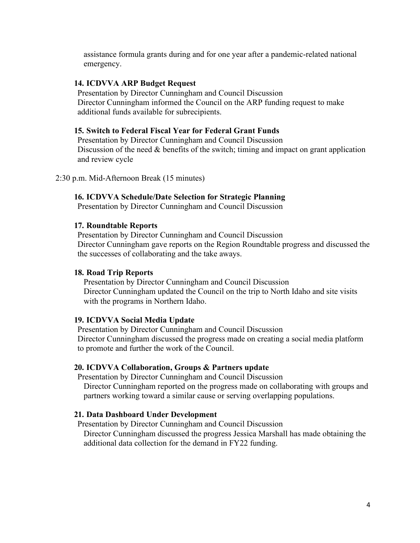assistance formula grants during and for one year after a pandemic-related national emergency.

### **14. ICDVVA ARP Budget Request**

Presentation by Director Cunningham and Council Discussion Director Cunningham informed the Council on the ARP funding request to make additional funds available for subrecipients.

#### **15. Switch to Federal Fiscal Year for Federal Grant Funds**

Presentation by Director Cunningham and Council Discussion Discussion of the need & benefits of the switch; timing and impact on grant application and review cycle

### 2:30 p.m. Mid-Afternoon Break (15 minutes)

### **16. ICDVVA Schedule/Date Selection for Strategic Planning**

Presentation by Director Cunningham and Council Discussion

#### **17. Roundtable Reports**

Presentation by Director Cunningham and Council Discussion Director Cunningham gave reports on the Region Roundtable progress and discussed the the successes of collaborating and the take aways.

### **18. Road Trip Reports**

Presentation by Director Cunningham and Council Discussion Director Cunningham updated the Council on the trip to North Idaho and site visits with the programs in Northern Idaho.

#### **19. ICDVVA Social Media Update**

Presentation by Director Cunningham and Council Discussion Director Cunningham discussed the progress made on creating a social media platform to promote and further the work of the Council.

#### **20. ICDVVA Collaboration, Groups & Partners update**

Presentation by Director Cunningham and Council Discussion Director Cunningham reported on the progress made on collaborating with groups and partners working toward a similar cause or serving overlapping populations.

#### **21. Data Dashboard Under Development**

Presentation by Director Cunningham and Council Discussion

Director Cunningham discussed the progress Jessica Marshall has made obtaining the additional data collection for the demand in FY22 funding.